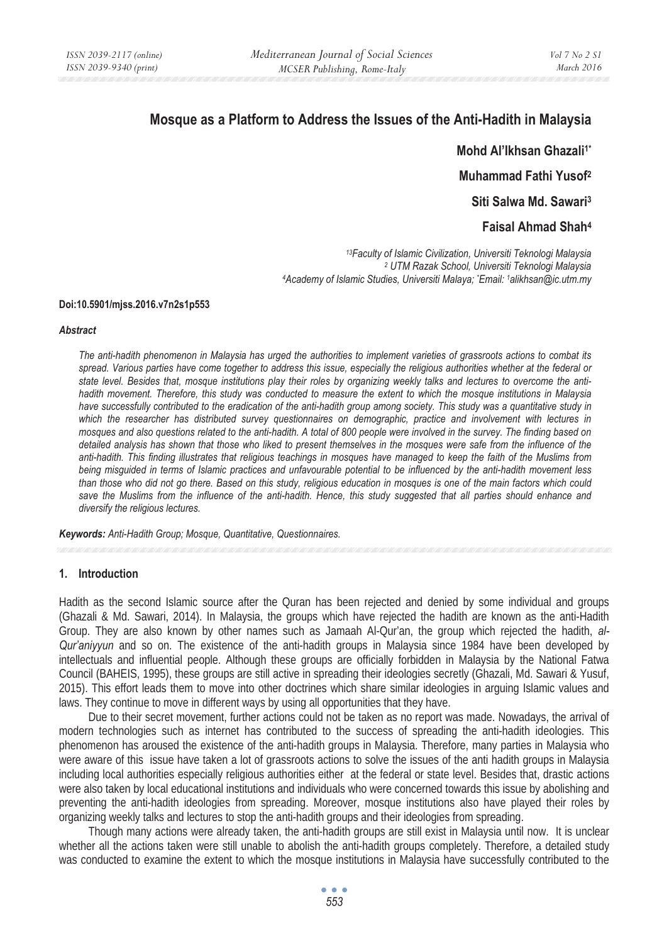# **Mosque as a Platform to Address the Issues of the Anti-Hadith in Malaysia**

**Mohd Al'Ikhsan Ghazali1\***

**Muhammad Fathi Yusof2**

**Siti Salwa Md. Sawari3**

# **Faisal Ahmad Shah4**

 *13Faculty of Islamic Civilization, Universiti Teknologi Malaysia 2 UTM Razak School, Universiti Teknologi Malaysia 4Academy of Islamic Studies, Universiti Malaya; \* Email: 1alikhsan@ic.utm.my* 

#### **Doi:10.5901/mjss.2016.v7n2s1p553**

#### *Abstract*

*The anti-hadith phenomenon in Malaysia has urged the authorities to implement varieties of grassroots actions to combat its spread. Various parties have come together to address this issue, especially the religious authorities whether at the federal or state level. Besides that, mosque institutions play their roles by organizing weekly talks and lectures to overcome the antihadith movement. Therefore, this study was conducted to measure the extent to which the mosque institutions in Malaysia have successfully contributed to the eradication of the anti-hadith group among society. This study was a quantitative study in which the researcher has distributed survey questionnaires on demographic, practice and involvement with lectures in mosques and also questions related to the anti-hadith. A total of 800 people were involved in the survey. The finding based on detailed analysis has shown that those who liked to present themselves in the mosques were safe from the influence of the anti-hadith. This finding illustrates that religious teachings in mosques have managed to keep the faith of the Muslims from being misguided in terms of Islamic practices and unfavourable potential to be influenced by the anti-hadith movement less than those who did not go there. Based on this study, religious education in mosques is one of the main factors which could*  save the Muslims from the influence of the anti-hadith. Hence, this study suggested that all parties should enhance and *diversify the religious lectures.* 

*Keywords: Anti-Hadith Group; Mosque, Quantitative, Questionnaires.*

#### **1. Introduction**

Hadith as the second Islamic source after the Quran has been rejected and denied by some individual and groups (Ghazali & Md. Sawari, 2014). In Malaysia, the groups which have rejected the hadith are known as the anti-Hadith Group. They are also known by other names such as Jamaah Al-Qur'an, the group which rejected the hadith, *al-Qur'aniyyun* and so on. The existence of the anti-hadith groups in Malaysia since 1984 have been developed by intellectuals and influential people. Although these groups are officially forbidden in Malaysia by the National Fatwa Council (BAHEIS, 1995), these groups are still active in spreading their ideologies secretly (Ghazali, Md. Sawari & Yusuf, 2015). This effort leads them to move into other doctrines which share similar ideologies in arguing Islamic values and laws. They continue to move in different ways by using all opportunities that they have.

Due to their secret movement, further actions could not be taken as no report was made. Nowadays, the arrival of modern technologies such as internet has contributed to the success of spreading the anti-hadith ideologies. This phenomenon has aroused the existence of the anti-hadith groups in Malaysia. Therefore, many parties in Malaysia who were aware of this issue have taken a lot of grassroots actions to solve the issues of the anti hadith groups in Malaysia including local authorities especially religious authorities either at the federal or state level. Besides that, drastic actions were also taken by local educational institutions and individuals who were concerned towards this issue by abolishing and preventing the anti-hadith ideologies from spreading. Moreover, mosque institutions also have played their roles by organizing weekly talks and lectures to stop the anti-hadith groups and their ideologies from spreading.

Though many actions were already taken, the anti-hadith groups are still exist in Malaysia until now. It is unclear whether all the actions taken were still unable to abolish the anti-hadith groups completely. Therefore, a detailed study was conducted to examine the extent to which the mosque institutions in Malaysia have successfully contributed to the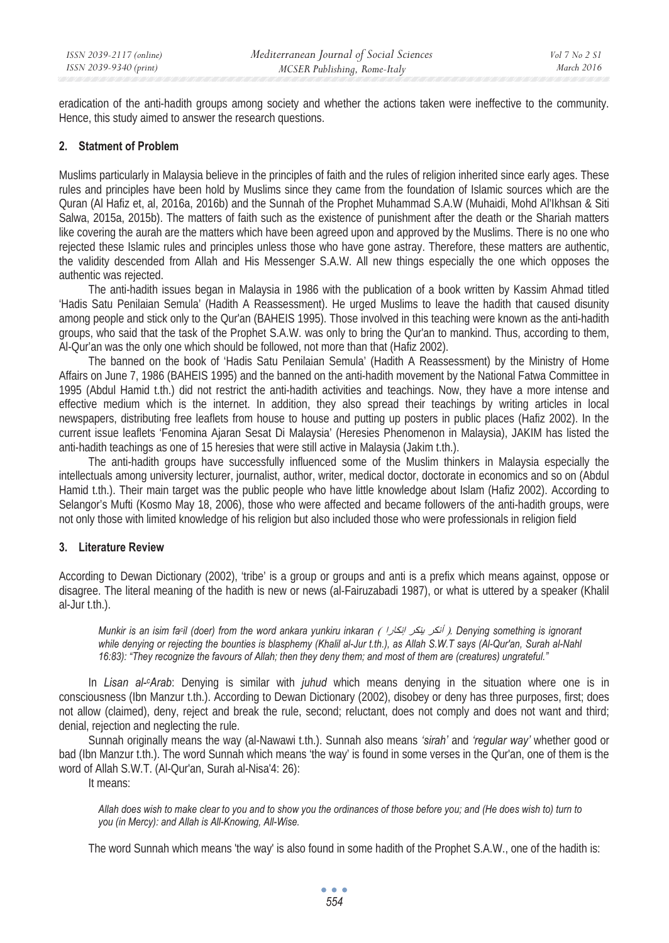eradication of the anti-hadith groups among society and whether the actions taken were ineffective to the community. Hence, this study aimed to answer the research questions.

### **2. Statment of Problem**

Muslims particularly in Malaysia believe in the principles of faith and the rules of religion inherited since early ages. These rules and principles have been hold by Muslims since they came from the foundation of Islamic sources which are the Quran (Al Hafiz et, al, 2016a, 2016b) and the Sunnah of the Prophet Muhammad S.A.W (Muhaidi, Mohd Al'Ikhsan & Siti Salwa, 2015a, 2015b). The matters of faith such as the existence of punishment after the death or the Shariah matters like covering the aurah are the matters which have been agreed upon and approved by the Muslims. There is no one who rejected these Islamic rules and principles unless those who have gone astray. Therefore, these matters are authentic, the validity descended from Allah and His Messenger S.A.W. All new things especially the one which opposes the authentic was rejected.

The anti-hadith issues began in Malaysia in 1986 with the publication of a book written by Kassim Ahmad titled 'Hadis Satu Penilaian Semula' (Hadith A Reassessment). He urged Muslims to leave the hadith that caused disunity among people and stick only to the Qur'an (BAHEIS 1995). Those involved in this teaching were known as the anti-hadith groups, who said that the task of the Prophet S.A.W. was only to bring the Qur'an to mankind. Thus, according to them, Al-Qur'an was the only one which should be followed, not more than that (Hafiz 2002).

The banned on the book of 'Hadis Satu Penilaian Semula' (Hadith A Reassessment) by the Ministry of Home Affairs on June 7, 1986 (BAHEIS 1995) and the banned on the anti-hadith movement by the National Fatwa Committee in 1995 (Abdul Hamid t.th.) did not restrict the anti-hadith activities and teachings. Now, they have a more intense and effective medium which is the internet. In addition, they also spread their teachings by writing articles in local newspapers, distributing free leaflets from house to house and putting up posters in public places (Hafiz 2002). In the current issue leaflets 'Fenomina Ajaran Sesat Di Malaysia' (Heresies Phenomenon in Malaysia), JAKIM has listed the anti-hadith teachings as one of 15 heresies that were still active in Malaysia (Jakim t.th.).

The anti-hadith groups have successfully influenced some of the Muslim thinkers in Malaysia especially the intellectuals among university lecturer, journalist, author, writer, medical doctor, doctorate in economics and so on (Abdul Hamid t.th.). Their main target was the public people who have little knowledge about Islam (Hafiz 2002). According to Selangor's Mufti (Kosmo May 18, 2006), those who were affected and became followers of the anti-hadith groups, were not only those with limited knowledge of his religion but also included those who were professionals in religion field

# **3. Literature Review**

According to Dewan Dictionary (2002), 'tribe' is a group or groups and anti is a prefix which means against, oppose or disagree. The literal meaning of the hadith is new or news (al-Fairuzabadi 1987), or what is uttered by a speaker (Khalil al-Jur t.th.).

*Munkir is an isim facil (doer) from the word ankara yunkiru inkaran ( أنكر بنكر انكار ). Denying something is ignorant while denying or rejecting the bounties is blasphemy (Khalil al-Jur t.th.), as Allah S.W.T says (Al-Qur'an, Surah al-Nahl 16:83): "They recognize the favours of Allah; then they deny them; and most of them are (creatures) ungrateful."* 

In *Lisan al-c Arab*: Denying is similar with *juhud* which means denying in the situation where one is in consciousness (Ibn Manzur t.th.). According to Dewan Dictionary (2002), disobey or deny has three purposes, first; does not allow (claimed), deny, reject and break the rule, second; reluctant, does not comply and does not want and third; denial, rejection and neglecting the rule.

Sunnah originally means the way (al-Nawawi t.th.). Sunnah also means *'sirah'* and *'regular way'* whether good or bad (Ibn Manzur t.th.). The word Sunnah which means 'the way' is found in some verses in the Qur'an, one of them is the word of Allah S.W.T. (Al-Qur'an, Surah al-Nisa'4: 26):

It means:

*Allah does wish to make clear to you and to show you the ordinances of those before you; and (He does wish to) turn to you (in Mercy): and Allah is All-Knowing, All-Wise.* 

The word Sunnah which means 'the way' is also found in some hadith of the Prophet S.A.W., one of the hadith is:

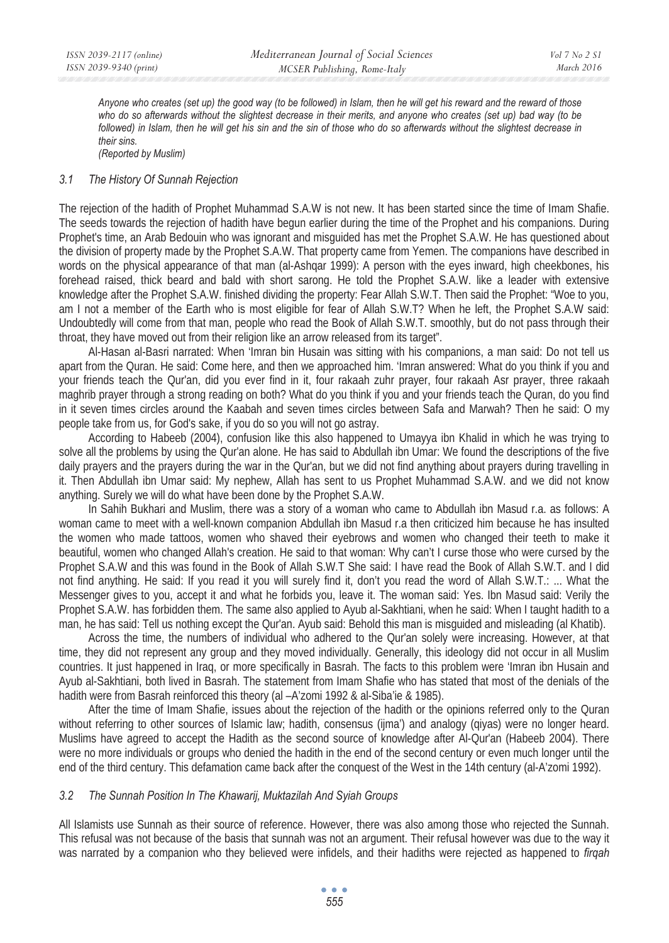*Anyone who creates (set up) the good way (to be followed) in Islam, then he will get his reward and the reward of those who do so afterwards without the slightest decrease in their merits, and anyone who creates (set up) bad way (to be followed) in Islam, then he will get his sin and the sin of those who do so afterwards without the slightest decrease in their sins.* 

*(Reported by Muslim)* 

### *3.1 The History Of Sunnah Rejection*

The rejection of the hadith of Prophet Muhammad S.A.W is not new. It has been started since the time of Imam Shafie. The seeds towards the rejection of hadith have begun earlier during the time of the Prophet and his companions. During Prophet's time, an Arab Bedouin who was ignorant and misguided has met the Prophet S.A.W. He has questioned about the division of property made by the Prophet S.A.W. That property came from Yemen. The companions have described in words on the physical appearance of that man (al-Ashqar 1999): A person with the eyes inward, high cheekbones, his forehead raised, thick beard and bald with short sarong. He told the Prophet S.A.W. like a leader with extensive knowledge after the Prophet S.A.W. finished dividing the property: Fear Allah S.W.T. Then said the Prophet: "Woe to you, am I not a member of the Earth who is most eligible for fear of Allah S.W.T? When he left, the Prophet S.A.W said: Undoubtedly will come from that man, people who read the Book of Allah S.W.T. smoothly, but do not pass through their throat, they have moved out from their religion like an arrow released from its target".

Al-Hasan al-Basri narrated: When 'Imran bin Husain was sitting with his companions, a man said: Do not tell us apart from the Quran. He said: Come here, and then we approached him. 'Imran answered: What do you think if you and your friends teach the Qur'an, did you ever find in it, four rakaah zuhr prayer, four rakaah Asr prayer, three rakaah maghrib prayer through a strong reading on both? What do you think if you and your friends teach the Quran, do you find in it seven times circles around the Kaabah and seven times circles between Safa and Marwah? Then he said: O my people take from us, for God's sake, if you do so you will not go astray.

According to Habeeb (2004), confusion like this also happened to Umayya ibn Khalid in which he was trying to solve all the problems by using the Qur'an alone. He has said to Abdullah ibn Umar: We found the descriptions of the five daily prayers and the prayers during the war in the Qur'an, but we did not find anything about prayers during travelling in it. Then Abdullah ibn Umar said: My nephew, Allah has sent to us Prophet Muhammad S.A.W. and we did not know anything. Surely we will do what have been done by the Prophet S.A.W.

In Sahih Bukhari and Muslim, there was a story of a woman who came to Abdullah ibn Masud r.a. as follows: A woman came to meet with a well-known companion Abdullah ibn Masud r.a then criticized him because he has insulted the women who made tattoos, women who shaved their eyebrows and women who changed their teeth to make it beautiful, women who changed Allah's creation. He said to that woman: Why can't I curse those who were cursed by the Prophet S.A.W and this was found in the Book of Allah S.W.T She said: I have read the Book of Allah S.W.T. and I did not find anything. He said: If you read it you will surely find it, don't you read the word of Allah S.W.T.: ... What the Messenger gives to you, accept it and what he forbids you, leave it. The woman said: Yes. Ibn Masud said: Verily the Prophet S.A.W. has forbidden them. The same also applied to Ayub al-Sakhtiani, when he said: When I taught hadith to a man, he has said: Tell us nothing except the Qur'an. Ayub said: Behold this man is misguided and misleading (al Khatib).

Across the time, the numbers of individual who adhered to the Qur'an solely were increasing. However, at that time, they did not represent any group and they moved individually. Generally, this ideology did not occur in all Muslim countries. It just happened in Iraq, or more specifically in Basrah. The facts to this problem were 'Imran ibn Husain and Ayub al-Sakhtiani, both lived in Basrah. The statement from Imam Shafie who has stated that most of the denials of the hadith were from Basrah reinforced this theory (al -A'zomi 1992 & al-Siba'ie & 1985).

After the time of Imam Shafie, issues about the rejection of the hadith or the opinions referred only to the Quran without referring to other sources of Islamic law; hadith, consensus (ijma') and analogy (qiyas) were no longer heard. Muslims have agreed to accept the Hadith as the second source of knowledge after Al-Qur'an (Habeeb 2004). There were no more individuals or groups who denied the hadith in the end of the second century or even much longer until the end of the third century. This defamation came back after the conquest of the West in the 14th century (al-A'zomi 1992).

### *3.2 The Sunnah Position In The Khawarij, Muktazilah And Syiah Groups*

All Islamists use Sunnah as their source of reference. However, there was also among those who rejected the Sunnah. This refusal was not because of the basis that sunnah was not an argument. Their refusal however was due to the way it was narrated by a companion who they believed were infidels, and their hadiths were rejected as happened to *firqah*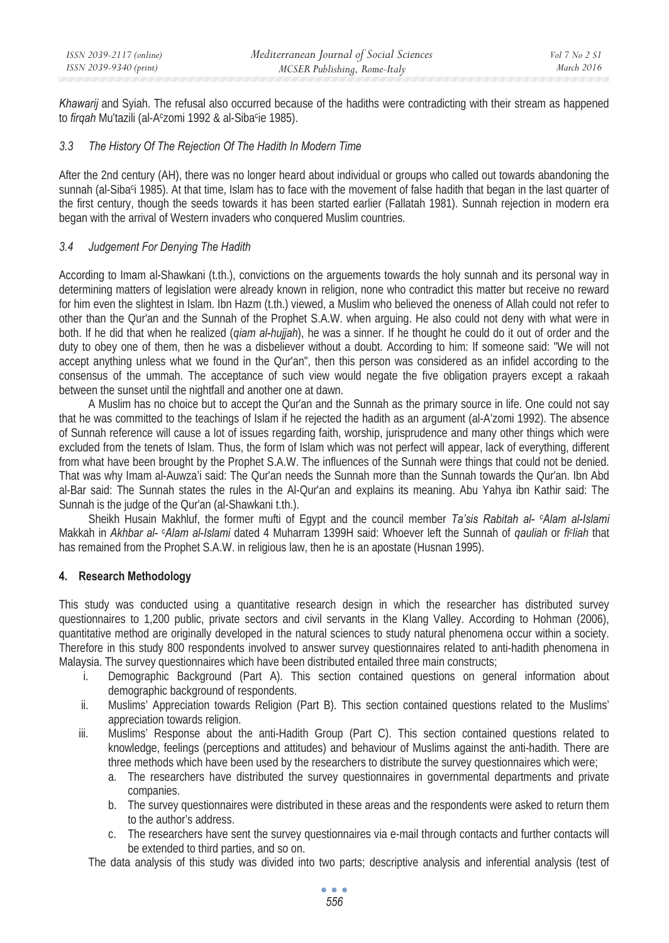*Khawarij* and Syiah. The refusal also occurred because of the hadiths were contradicting with their stream as happened to *firqah* Mu'tazili (al-A<sup>c</sup>zomi 1992 & al-Siba<sup>c</sup>ie 1985).

# *3.3 The History Of The Rejection Of The Hadith In Modern Time*

After the 2nd century (AH), there was no longer heard about individual or groups who called out towards abandoning the sunnah (al-Sibaci 1985). At that time, Islam has to face with the movement of false hadith that began in the last quarter of the first century, though the seeds towards it has been started earlier (Fallatah 1981). Sunnah rejection in modern era began with the arrival of Western invaders who conquered Muslim countries.

# *3.4 Judgement For Denying The Hadith*

According to Imam al-Shawkani (t.th.), convictions on the arguements towards the holy sunnah and its personal way in determining matters of legislation were already known in religion, none who contradict this matter but receive no reward for him even the slightest in Islam. Ibn Hazm (t.th.) viewed, a Muslim who believed the oneness of Allah could not refer to other than the Qur'an and the Sunnah of the Prophet S.A.W. when arguing. He also could not deny with what were in both. If he did that when he realized (*qiam al-hujjah*), he was a sinner. If he thought he could do it out of order and the duty to obey one of them, then he was a disbeliever without a doubt. According to him: If someone said: "We will not accept anything unless what we found in the Qur'an", then this person was considered as an infidel according to the consensus of the ummah. The acceptance of such view would negate the five obligation prayers except a rakaah between the sunset until the nightfall and another one at dawn.

A Muslim has no choice but to accept the Qur'an and the Sunnah as the primary source in life. One could not say that he was committed to the teachings of Islam if he rejected the hadith as an argument (al-A'zomi 1992). The absence of Sunnah reference will cause a lot of issues regarding faith, worship, jurisprudence and many other things which were excluded from the tenets of Islam. Thus, the form of Islam which was not perfect will appear, lack of everything, different from what have been brought by the Prophet S.A.W. The influences of the Sunnah were things that could not be denied. That was why Imam al-Auwza'i said: The Qur'an needs the Sunnah more than the Sunnah towards the Qur'an. Ibn Abd al-Bar said: The Sunnah states the rules in the Al-Qur'an and explains its meaning. Abu Yahya ibn Kathir said: The Sunnah is the judge of the Qur'an (al-Shawkani t.th.).

Sheikh Husain Makhluf, the former mufti of Egypt and the council member *Ta'sis Rabitah al- c Alam al-Islami* Makkah in *Akhbar al- c Alam al-Islami* dated 4 Muharram 1399H said: Whoever left the Sunnah of *qauliah* or *fic liah* that has remained from the Prophet S.A.W. in religious law, then he is an apostate (Husnan 1995).

# **4. Research Methodology**

This study was conducted using a quantitative research design in which the researcher has distributed survey questionnaires to 1,200 public, private sectors and civil servants in the Klang Valley. According to Hohman (2006), quantitative method are originally developed in the natural sciences to study natural phenomena occur within a society. Therefore in this study 800 respondents involved to answer survey questionnaires related to anti-hadith phenomena in Malaysia. The survey questionnaires which have been distributed entailed three main constructs;

- i. Demographic Background (Part A). This section contained questions on general information about demographic background of respondents.
- ii. Muslims' Appreciation towards Religion (Part B). This section contained questions related to the Muslims' appreciation towards religion.
- iii. Muslims' Response about the anti-Hadith Group (Part C). This section contained questions related to knowledge, feelings (perceptions and attitudes) and behaviour of Muslims against the anti-hadith. There are three methods which have been used by the researchers to distribute the survey questionnaires which were;
	- a. The researchers have distributed the survey questionnaires in governmental departments and private companies.
	- b. The survey questionnaires were distributed in these areas and the respondents were asked to return them to the author's address.
	- c. The researchers have sent the survey questionnaires via e-mail through contacts and further contacts will be extended to third parties, and so on.

The data analysis of this study was divided into two parts; descriptive analysis and inferential analysis (test of

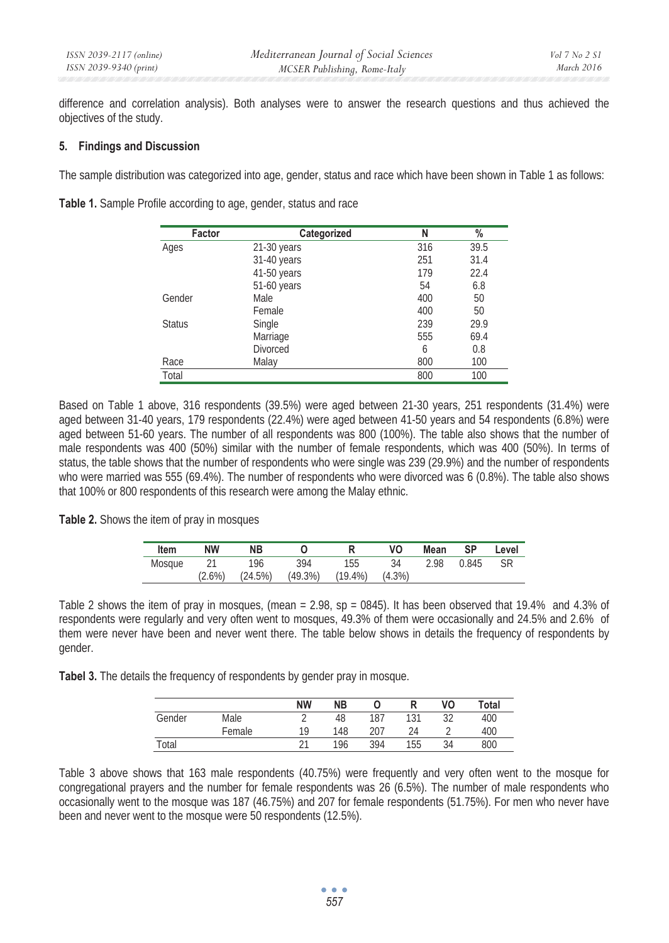difference and correlation analysis). Both analyses were to answer the research questions and thus achieved the objectives of the study.

### **5. Findings and Discussion**

The sample distribution was categorized into age, gender, status and race which have been shown in Table 1 as follows:

**Table 1.** Sample Profile according to age, gender, status and race

| Factor        | Categorized     | N   | %    |
|---------------|-----------------|-----|------|
| Ages          | 21-30 years     | 316 | 39.5 |
|               | 31-40 years     | 251 | 31.4 |
|               | 41-50 years     | 179 | 22.4 |
|               | 51-60 years     | 54  | 6.8  |
| Gender        | Male            | 400 | 50   |
|               | Female          | 400 | 50   |
| <b>Status</b> | Single          | 239 | 29.9 |
|               | Marriage        | 555 | 69.4 |
|               | <b>Divorced</b> | 6   | 0.8  |
| Race          | Malay           | 800 | 100  |
| Total         |                 | 800 | 100  |

Based on Table 1 above, 316 respondents (39.5%) were aged between 21-30 years, 251 respondents (31.4%) were aged between 31-40 years, 179 respondents (22.4%) were aged between 41-50 years and 54 respondents (6.8%) were aged between 51-60 years. The number of all respondents was 800 (100%). The table also shows that the number of male respondents was 400 (50%) similar with the number of female respondents, which was 400 (50%). In terms of status, the table shows that the number of respondents who were single was 239 (29.9%) and the number of respondents who were married was 555 (69.4%). The number of respondents who were divorced was 6 (0.8%). The table also shows that 100% or 800 respondents of this research were among the Malay ethnic.

**Table 2.** Shows the item of pray in mosques

| ltem   | NW        | NΒ      |            |            | ٧O        | Mean | <b>SP</b> | Level     |
|--------|-----------|---------|------------|------------|-----------|------|-----------|-----------|
| Mosque |           | 196     | 394        | 155        | 34        | 2.98 | 0.845     | <b>SR</b> |
|        | $(2.6\%)$ | (24.5%) | $(49.3\%)$ | $(19.4\%)$ | $(4.3\%)$ |      |           |           |

Table 2 shows the item of pray in mosques, (mean = 2.98, sp = 0845). It has been observed that 19.4% and 4.3% of respondents were regularly and very often went to mosques, 49.3% of them were occasionally and 24.5% and 2.6% of them were never have been and never went there. The table below shows in details the frequency of respondents by gender.

**Tabel 3.** The details the frequency of respondents by gender pray in mosque.

|        |        | <b>NW</b>  | <b>NB</b> |     | R   | VO | Total |
|--------|--------|------------|-----------|-----|-----|----|-------|
| Gender | Male   |            | 48        | 187 | 131 | 32 | 400   |
|        | Female | 10         | 148       | 207 | 24  |    | 400   |
| Total  |        | $^{\circ}$ | 196       | 394 | 155 | 34 | 800   |

Table 3 above shows that 163 male respondents (40.75%) were frequently and very often went to the mosque for congregational prayers and the number for female respondents was 26 (6.5%). The number of male respondents who occasionally went to the mosque was 187 (46.75%) and 207 for female respondents (51.75%). For men who never have been and never went to the mosque were 50 respondents (12.5%).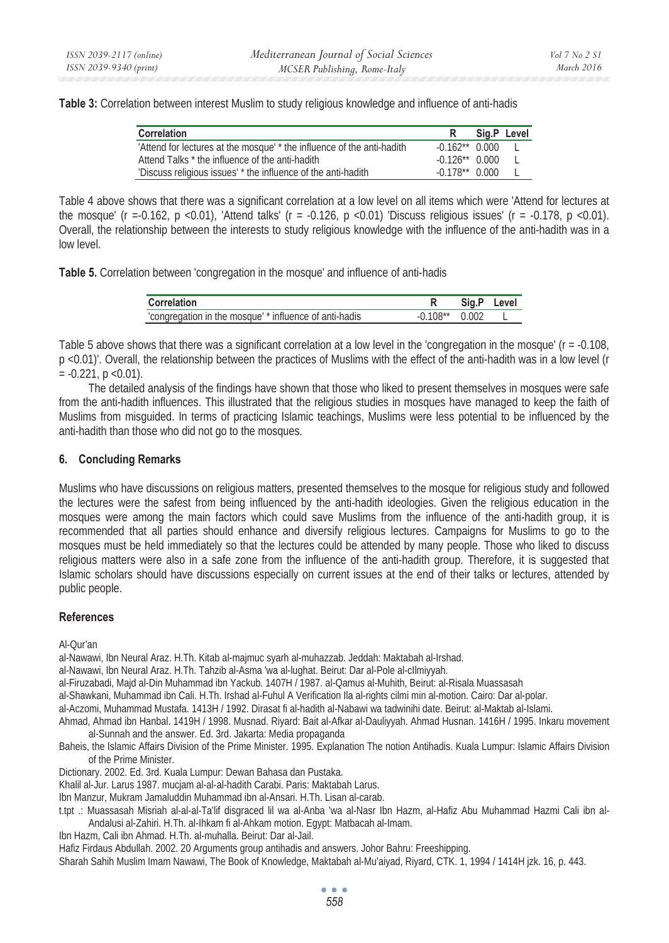**Table 3:** Correlation between interest Muslim to study religious knowledge and influence of anti-hadis

| Correlation                                                            | R                 | Sig.P Level |                |
|------------------------------------------------------------------------|-------------------|-------------|----------------|
| 'Attend for lectures at the mosque' * the influence of the anti-hadith | $-0.162**0.000$   |             | $\overline{1}$ |
| Attend Talks * the influence of the anti-hadith                        | $-0.126***$ 0.000 |             |                |
| 'Discuss religious issues' * the influence of the anti-hadith          | $-0.178**$ 0.000  |             |                |

Table 4 above shows that there was a significant correlation at a low level on all items which were 'Attend for lectures at the mosque' (r =-0.162, p <0.01), 'Attend talks' (r = -0.126, p <0.01) 'Discuss religious issues' (r = -0.178, p <0.01). Overall, the relationship between the interests to study religious knowledge with the influence of the anti-hadith was in a low level.

**Table 5.** Correlation between 'congregation in the mosque' and influence of anti-hadis

| <b>Correlation</b>                                                        | ĸ | evel. |
|---------------------------------------------------------------------------|---|-------|
| of anti-hadis<br>cono<br>at * influence of<br>the mosque'<br>ın<br>nation |   |       |

Table 5 above shows that there was a significant correlation at a low level in the 'congregation in the mosque' (r = -0.108, p <0.01)'. Overall, the relationship between the practices of Muslims with the effect of the anti-hadith was in a low level (r  $= -0.221$ ,  $p < 0.01$ ).

The detailed analysis of the findings have shown that those who liked to present themselves in mosques were safe from the anti-hadith influences. This illustrated that the religious studies in mosques have managed to keep the faith of Muslims from misguided. In terms of practicing Islamic teachings, Muslims were less potential to be influenced by the anti-hadith than those who did not go to the mosques.

# **6. Concluding Remarks**

Muslims who have discussions on religious matters, presented themselves to the mosque for religious study and followed the lectures were the safest from being influenced by the anti-hadith ideologies. Given the religious education in the mosques were among the main factors which could save Muslims from the influence of the anti-hadith group, it is recommended that all parties should enhance and diversify religious lectures. Campaigns for Muslims to go to the mosques must be held immediately so that the lectures could be attended by many people. Those who liked to discuss religious matters were also in a safe zone from the influence of the anti-hadith group. Therefore, it is suggested that Islamic scholars should have discussions especially on current issues at the end of their talks or lectures, attended by public people.

## **References**

Al-Qur'an

al-Nawawi, Ibn Neural Araz. H.Th. Kitab al-majmuc syarh al-muhazzab. Jeddah: Maktabah al-Irshad.

al-Nawawi, Ibn Neural Araz. H.Th. Tahzib al-Asma 'wa al-lughat. Beirut: Dar al-Pole al-cIlmiyyah.

al-Firuzabadi, Majd al-Din Muhammad ibn Yackub. 1407H / 1987. al-Qamus al-Muhith, Beirut: al-Risala Muassasah

al-Shawkani, Muhammad ibn Cali. H.Th. Irshad al-Fuhul A Verification Ila al-rights cilmi min al-motion. Cairo: Dar al-polar.

al-Aczomi, Muhammad Mustafa. 1413H / 1992. Dirasat fi al-hadith al-Nabawi wa tadwinihi date. Beirut: al-Maktab al-Islami.

Ahmad, Ahmad ibn Hanbal. 1419H / 1998. Musnad. Riyard: Bait al-Afkar al-Dauliyyah. Ahmad Husnan. 1416H / 1995. Inkaru movement al-Sunnah and the answer. Ed. 3rd. Jakarta: Media propaganda

Baheis, the Islamic Affairs Division of the Prime Minister. 1995. Explanation The notion Antihadis. Kuala Lumpur: Islamic Affairs Division of the Prime Minister.

Dictionary. 2002. Ed. 3rd. Kuala Lumpur: Dewan Bahasa dan Pustaka.

Khalil al-Jur. Larus 1987. mucjam al-al-al-hadith Carabi. Paris: Maktabah Larus.

Ibn Manzur, Mukram Jamaluddin Muhammad ibn al-Ansari. H.Th. Lisan al-carab.

t.tpt .: Muassasah Misriah al-al-al-Ta'lif disgraced lil wa al-Anba 'wa al-Nasr Ibn Hazm, al-Hafiz Abu Muhammad Hazmi Cali ibn al-Andalusi al-Zahiri. H.Th. al-Ihkam fi al-Ahkam motion. Egypt: Matbacah al-Imam.

Ibn Hazm, Cali ibn Ahmad. H.Th. al-muhalla. Beirut: Dar al-Jail.

Hafiz Firdaus Abdullah. 2002. 20 Arguments group antihadis and answers. Johor Bahru: Freeshipping.

Sharah Sahih Muslim Imam Nawawi, The Book of Knowledge, Maktabah al-Mu'aiyad, Riyard, CTK. 1, 1994 / 1414H jzk. 16, p. 443.